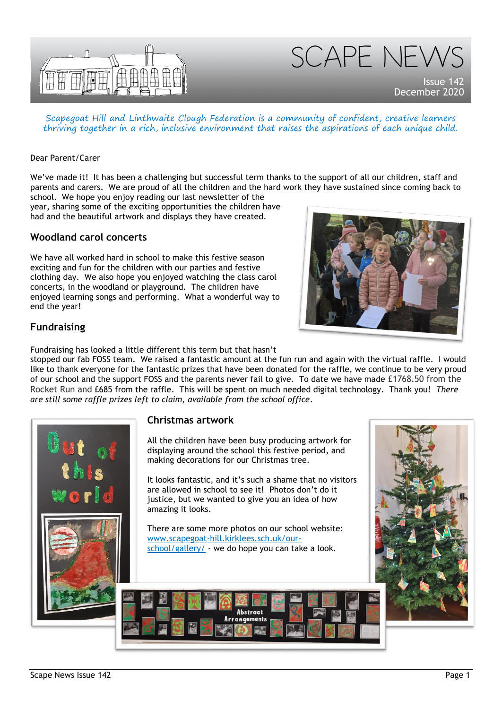



December 2020

Scapegoat Hill and Linthwaite Clough Federation is a community of confident, creative learners thriving together in a rich, inclusive environment that raises the aspirations of each unique child.

#### Dear Parent/Carer

We've made it! It has been a challenging but successful term thanks to the support of all our children, staff and parents and carers. We are proud of all the children and the hard work they have sustained since coming back to school. We hope you enjoy reading our last newsletter of the

year, sharing some of the exciting opportunities the children have had and the beautiful artwork and displays they have created.

#### **Woodland carol concerts**

We have all worked hard in school to make this festive season exciting and fun for the children with our parties and festive clothing day. We also hope you enjoyed watching the class carol concerts, in the woodland or playground. The children have enjoyed learning songs and performing. What a wonderful way to end the year!



## **Fundraising**

Fundraising has looked a little different this term but that hasn't

stopped our fab FOSS team. We raised a fantastic amount at the fun run and again with the virtual raffle. I would like to thank everyone for the fantastic prizes that have been donated for the raffle, we continue to be very proud of our school and the support FOSS and the parents never fail to give. To date we have made £1768.50 from the Rocket Run and £685 from the raffle. This will be spent on much needed digital technology. Thank you! *There are still some raffle prizes left to claim, available from the school office*.